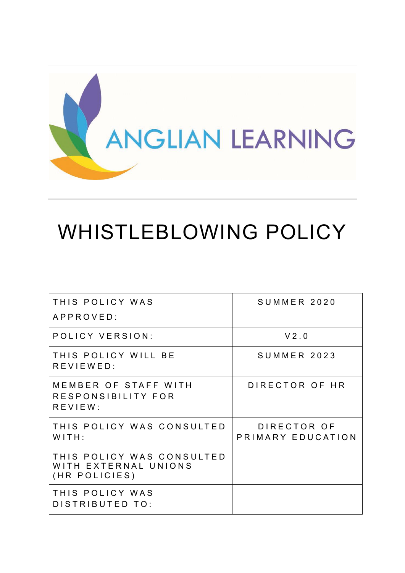

# WHISTLEBLOWING POLICY

| THIS POLICY WAS<br>APPROVED:                                       | SUMMER 2020                      |
|--------------------------------------------------------------------|----------------------------------|
| POLICY VERSION:                                                    | V2.0                             |
| THIS POLICY WILL BE<br>REVIEWED:                                   | SUMMER 2023                      |
| MEMBER OF STAFF WITH<br>RESPONSIBILITY FOR<br>REVIEW:              | DIRECTOR OF HR                   |
| THIS POLICY WAS CONSULTED<br>WITH:                                 | DIRECTOR OF<br>PRIMARY EDUCATION |
| THIS POLICY WAS CONSULTED<br>WITH EXTERNAL UNIONS<br>(HR POLICIES) |                                  |
| THIS POLICY WAS<br>DISTRIBUTED TO:                                 |                                  |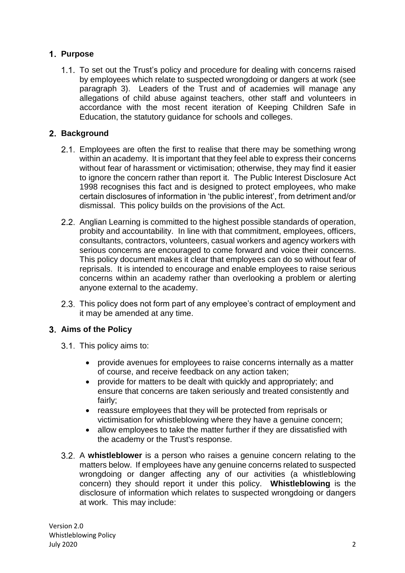# **Purpose**

1.1. To set out the Trust's policy and procedure for dealing with concerns raised by employees which relate to suspected wrongdoing or dangers at work (see paragraph 3). Leaders of the Trust and of academies will manage any allegations of child abuse against teachers, other staff and volunteers in accordance with the most recent iteration of Keeping Children Safe in Education, the statutory guidance for schools and colleges.

# **Background**

- 2.1. Employees are often the first to realise that there may be something wrong within an academy. It is important that they feel able to express their concerns without fear of harassment or victimisation; otherwise, they may find it easier to ignore the concern rather than report it. The Public Interest Disclosure Act 1998 recognises this fact and is designed to protect employees, who make certain disclosures of information in 'the public interest', from detriment and/or dismissal. This policy builds on the provisions of the Act.
- 2.2. Anglian Learning is committed to the highest possible standards of operation, probity and accountability. In line with that commitment, employees, officers, consultants, contractors, volunteers, casual workers and agency workers with serious concerns are encouraged to come forward and voice their concerns. This policy document makes it clear that employees can do so without fear of reprisals. It is intended to encourage and enable employees to raise serious concerns within an academy rather than overlooking a problem or alerting anyone external to the academy.
- 2.3. This policy does not form part of any employee's contract of employment and it may be amended at any time.

#### **Aims of the Policy**

- 3.1. This policy aims to:
	- provide avenues for employees to raise concerns internally as a matter of course, and receive feedback on any action taken;
	- provide for matters to be dealt with quickly and appropriately; and ensure that concerns are taken seriously and treated consistently and fairly;
	- reassure employees that they will be protected from reprisals or victimisation for whistleblowing where they have a genuine concern;
	- allow employees to take the matter further if they are dissatisfied with the academy or the Trust's response.
- A **whistleblower** is a person who raises a genuine concern relating to the matters below. If employees have any genuine concerns related to suspected wrongdoing or danger affecting any of our activities (a whistleblowing concern) they should report it under this policy. **Whistleblowing** is the disclosure of information which relates to suspected wrongdoing or dangers at work. This may include: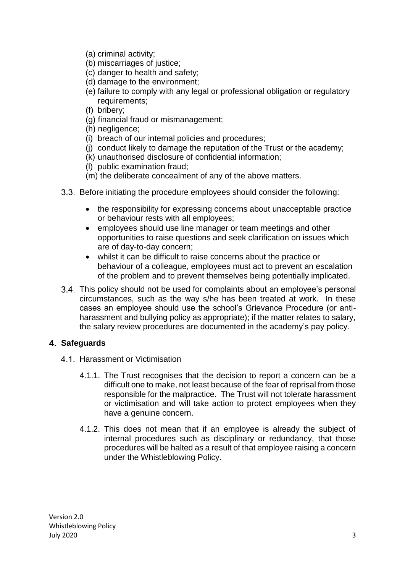- (a) criminal activity;
- (b) miscarriages of justice;
- (c) danger to health and safety;
- (d) damage to the environment;
- (e) failure to comply with any legal or professional obligation or regulatory requirements;
- (f) bribery;
- (g) financial fraud or mismanagement;
- (h) negligence;
- (i) breach of our internal policies and procedures;
- (j) conduct likely to damage the reputation of the Trust or the academy;
- (k) unauthorised disclosure of confidential information;
- (l) public examination fraud;
- (m) the deliberate concealment of any of the above matters.
- 3.3. Before initiating the procedure employees should consider the following:
	- the responsibility for expressing concerns about unacceptable practice or behaviour rests with all employees;
	- employees should use line manager or team meetings and other opportunities to raise questions and seek clarification on issues which are of day-to-day concern;
	- whilst it can be difficult to raise concerns about the practice or behaviour of a colleague, employees must act to prevent an escalation of the problem and to prevent themselves being potentially implicated.
- 3.4. This policy should not be used for complaints about an employee's personal circumstances, such as the way s/he has been treated at work. In these cases an employee should use the school's Grievance Procedure (or antiharassment and bullying policy as appropriate); if the matter relates to salary, the salary review procedures are documented in the academy's pay policy.

#### **Safeguards**

- 4.1. Harassment or Victimisation
	- 4.1.1. The Trust recognises that the decision to report a concern can be a difficult one to make, not least because of the fear of reprisal from those responsible for the malpractice. The Trust will not tolerate harassment or victimisation and will take action to protect employees when they have a genuine concern.
	- 4.1.2. This does not mean that if an employee is already the subject of internal procedures such as disciplinary or redundancy, that those procedures will be halted as a result of that employee raising a concern under the Whistleblowing Policy.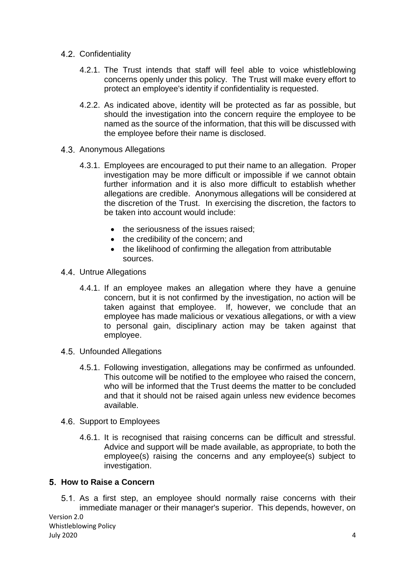- 4.2. Confidentiality
	- 4.2.1. The Trust intends that staff will feel able to voice whistleblowing concerns openly under this policy. The Trust will make every effort to protect an employee's identity if confidentiality is requested.
	- 4.2.2. As indicated above, identity will be protected as far as possible, but should the investigation into the concern require the employee to be named as the source of the information, that this will be discussed with the employee before their name is disclosed.
- Anonymous Allegations
	- 4.3.1. Employees are encouraged to put their name to an allegation. Proper investigation may be more difficult or impossible if we cannot obtain further information and it is also more difficult to establish whether allegations are credible. Anonymous allegations will be considered at the discretion of the Trust. In exercising the discretion, the factors to be taken into account would include:
		- the seriousness of the issues raised:
		- the credibility of the concern; and
		- the likelihood of confirming the allegation from attributable sources.
- 4.4. Untrue Allegations
	- 4.4.1. If an employee makes an allegation where they have a genuine concern, but it is not confirmed by the investigation, no action will be taken against that employee. If, however, we conclude that an employee has made malicious or vexatious allegations, or with a view to personal gain, disciplinary action may be taken against that employee.
- Unfounded Allegations
	- 4.5.1. Following investigation, allegations may be confirmed as unfounded. This outcome will be notified to the employee who raised the concern, who will be informed that the Trust deems the matter to be concluded and that it should not be raised again unless new evidence becomes available.
- 4.6. Support to Employees
	- 4.6.1. It is recognised that raising concerns can be difficult and stressful. Advice and support will be made available, as appropriate, to both the employee(s) raising the concerns and any employee(s) subject to investigation.

#### **How to Raise a Concern**

5.1. As a first step, an employee should normally raise concerns with their immediate manager or their manager's superior. This depends, however, on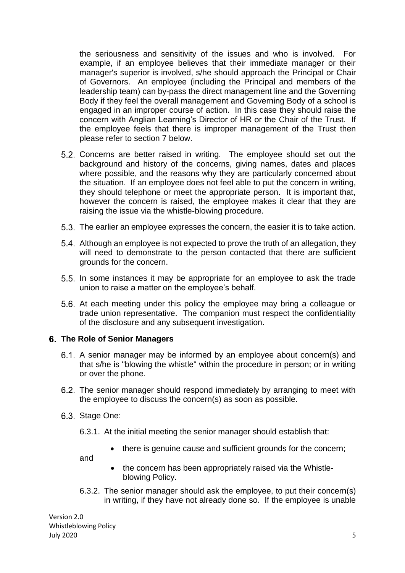the seriousness and sensitivity of the issues and who is involved. For example, if an employee believes that their immediate manager or their manager's superior is involved, s/he should approach the Principal or Chair of Governors. An employee (including the Principal and members of the leadership team) can by-pass the direct management line and the Governing Body if they feel the overall management and Governing Body of a school is engaged in an improper course of action. In this case they should raise the concern with Anglian Learning's Director of HR or the Chair of the Trust. If the employee feels that there is improper management of the Trust then please refer to section 7 below.

- Concerns are better raised in writing. The employee should set out the background and history of the concerns, giving names, dates and places where possible, and the reasons why they are particularly concerned about the situation. If an employee does not feel able to put the concern in writing, they should telephone or meet the appropriate person. It is important that, however the concern is raised, the employee makes it clear that they are raising the issue via the whistle-blowing procedure.
- The earlier an employee expresses the concern, the easier it is to take action.
- Although an employee is not expected to prove the truth of an allegation, they will need to demonstrate to the person contacted that there are sufficient grounds for the concern.
- 5.5. In some instances it may be appropriate for an employee to ask the trade union to raise a matter on the employee's behalf.
- 5.6. At each meeting under this policy the employee may bring a colleague or trade union representative. The companion must respect the confidentiality of the disclosure and any subsequent investigation.

#### **The Role of Senior Managers**

- A senior manager may be informed by an employee about concern(s) and that s/he is "blowing the whistle" within the procedure in person; or in writing or over the phone.
- The senior manager should respond immediately by arranging to meet with the employee to discuss the concern(s) as soon as possible.
- 6.3. Stage One:
	- 6.3.1. At the initial meeting the senior manager should establish that:
		- there is genuine cause and sufficient grounds for the concern;

and

- the concern has been appropriately raised via the Whistleblowing Policy.
- 6.3.2. The senior manager should ask the employee, to put their concern(s) in writing, if they have not already done so. If the employee is unable

Version 2.0 Whistleblowing Policy July 2020 5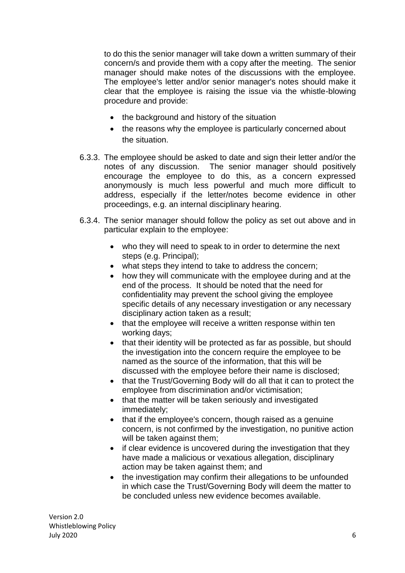to do this the senior manager will take down a written summary of their concern/s and provide them with a copy after the meeting. The senior manager should make notes of the discussions with the employee. The employee's letter and/or senior manager's notes should make it clear that the employee is raising the issue via the whistle-blowing procedure and provide:

- the background and history of the situation
- the reasons why the employee is particularly concerned about the situation.
- 6.3.3. The employee should be asked to date and sign their letter and/or the notes of any discussion. The senior manager should positively encourage the employee to do this, as a concern expressed anonymously is much less powerful and much more difficult to address, especially if the letter/notes become evidence in other proceedings, e.g. an internal disciplinary hearing.
- 6.3.4. The senior manager should follow the policy as set out above and in particular explain to the employee:
	- who they will need to speak to in order to determine the next steps (e.g. Principal);
	- what steps they intend to take to address the concern;
	- how they will communicate with the employee during and at the end of the process. It should be noted that the need for confidentiality may prevent the school giving the employee specific details of any necessary investigation or any necessary disciplinary action taken as a result;
	- that the employee will receive a written response within ten working days;
	- that their identity will be protected as far as possible, but should the investigation into the concern require the employee to be named as the source of the information, that this will be discussed with the employee before their name is disclosed;
	- that the Trust/Governing Body will do all that it can to protect the employee from discrimination and/or victimisation;
	- that the matter will be taken seriously and investigated immediately;
	- that if the employee's concern, though raised as a genuine concern, is not confirmed by the investigation, no punitive action will be taken against them:
	- if clear evidence is uncovered during the investigation that they have made a malicious or vexatious allegation, disciplinary action may be taken against them; and
	- the investigation may confirm their allegations to be unfounded in which case the Trust/Governing Body will deem the matter to be concluded unless new evidence becomes available.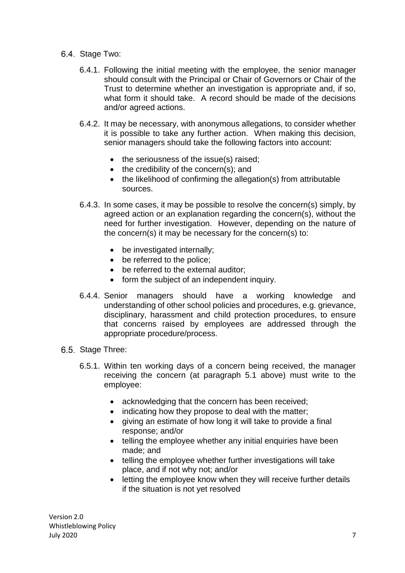- 6.4. Stage Two:
	- 6.4.1. Following the initial meeting with the employee, the senior manager should consult with the Principal or Chair of Governors or Chair of the Trust to determine whether an investigation is appropriate and, if so, what form it should take. A record should be made of the decisions and/or agreed actions.
	- 6.4.2. It may be necessary, with anonymous allegations, to consider whether it is possible to take any further action. When making this decision, senior managers should take the following factors into account:
		- $\bullet$  the seriousness of the issue(s) raised;
		- $\bullet$  the credibility of the concern(s); and
		- the likelihood of confirming the allegation(s) from attributable sources.
	- 6.4.3. In some cases, it may be possible to resolve the concern(s) simply, by agreed action or an explanation regarding the concern(s), without the need for further investigation. However, depending on the nature of the concern(s) it may be necessary for the concern(s) to:
		- be investigated internally;
		- be referred to the police;
		- be referred to the external auditor;
		- form the subject of an independent inquiry.
	- 6.4.4. Senior managers should have a working knowledge and understanding of other school policies and procedures, e.g. grievance, disciplinary, harassment and child protection procedures, to ensure that concerns raised by employees are addressed through the appropriate procedure/process.
- 6.5. Stage Three:
	- 6.5.1. Within ten working days of a concern being received, the manager receiving the concern (at paragraph 5.1 above) must write to the employee:
		- acknowledging that the concern has been received;
		- indicating how they propose to deal with the matter;
		- giving an estimate of how long it will take to provide a final response; and/or
		- telling the employee whether any initial enquiries have been made; and
		- telling the employee whether further investigations will take place, and if not why not; and/or
		- letting the employee know when they will receive further details if the situation is not yet resolved